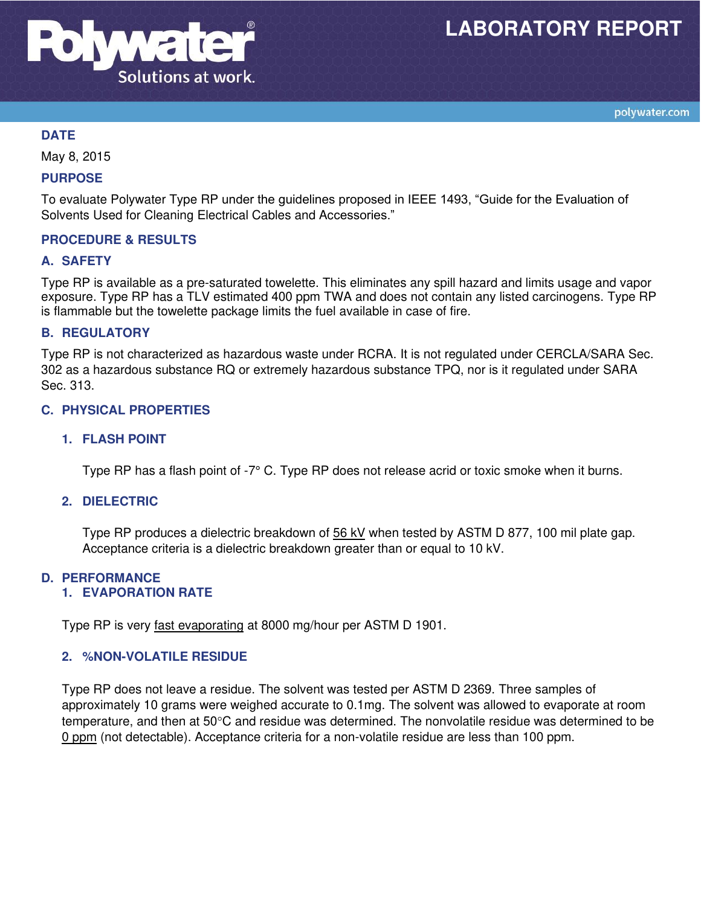

## **DATE**

May 8, 2015

### **PURPOSE**

To evaluate Polywater Type RP under the guidelines proposed in IEEE 1493, "Guide for the Evaluation of Solvents Used for Cleaning Electrical Cables and Accessories."

### **PROCEDURE & RESULTS**

### **A. SAFETY**

Type RP is available as a pre-saturated towelette. This eliminates any spill hazard and limits usage and vapor exposure. Type RP has a TLV estimated 400 ppm TWA and does not contain any listed carcinogens. Type RP is flammable but the towelette package limits the fuel available in case of fire.

### **B. REGULATORY**

Type RP is not characterized as hazardous waste under RCRA. It is not regulated under CERCLA/SARA Sec. 302 as a hazardous substance RQ or extremely hazardous substance TPQ, nor is it regulated under SARA Sec. 313.

### **C. PHYSICAL PROPERTIES**

### **1. FLASH POINT**

Type RP has a flash point of -7° C. Type RP does not release acrid or toxic smoke when it burns.

### **2. DIELECTRIC**

Type RP produces a dielectric breakdown of 56 kV when tested by ASTM D 877, 100 mil plate gap. Acceptance criteria is a dielectric breakdown greater than or equal to 10 kV.

### **D. PERFORMANCE**

### **1. EVAPORATION RATE**

Type RP is very fast evaporating at 8000 mg/hour per ASTM D 1901.

### **2. %NON-VOLATILE RESIDUE**

Type RP does not leave a residue. The solvent was tested per ASTM D 2369. Three samples of approximately 10 grams were weighed accurate to 0.1mg. The solvent was allowed to evaporate at room temperature, and then at  $50^{\circ}$ C and residue was determined. The nonvolatile residue was determined to be 0 ppm (not detectable). Acceptance criteria for a non-volatile residue are less than 100 ppm.

polywater.com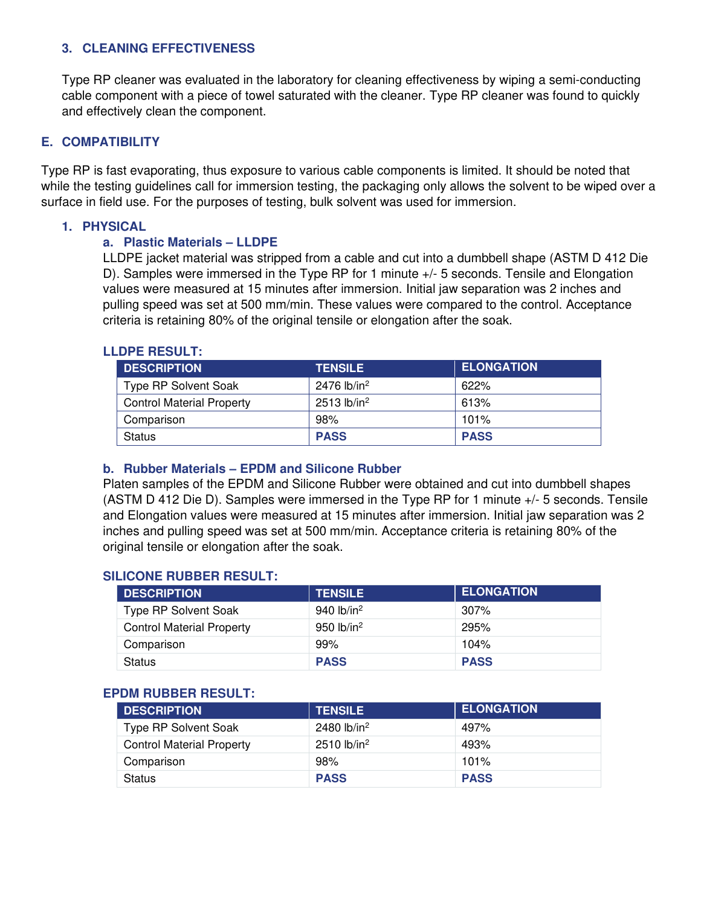# **3. CLEANING EFFECTIVENESS**

Type RP cleaner was evaluated in the laboratory for cleaning effectiveness by wiping a semi-conducting cable component with a piece of towel saturated with the cleaner. Type RP cleaner was found to quickly and effectively clean the component.

### **E. COMPATIBILITY**

Type RP is fast evaporating, thus exposure to various cable components is limited. It should be noted that while the testing quidelines call for immersion testing, the packaging only allows the solvent to be wiped over a surface in field use. For the purposes of testing, bulk solvent was used for immersion.

# **1. PHYSICAL**

### **a. Plastic Materials – LLDPE**

LLDPE jacket material was stripped from a cable and cut into a dumbbell shape (ASTM D 412 Die D). Samples were immersed in the Type RP for 1 minute +/- 5 seconds. Tensile and Elongation values were measured at 15 minutes after immersion. Initial jaw separation was 2 inches and pulling speed was set at 500 mm/min. These values were compared to the control. Acceptance criteria is retaining 80% of the original tensile or elongation after the soak.

### **LLDPE RESULT:**

| <b>DESCRIPTION</b>               | <b>TENSILE</b>            | <b>ELONGATION</b> |
|----------------------------------|---------------------------|-------------------|
| <b>Type RP Solvent Soak</b>      | 2476 lb/in <sup>2</sup>   | 622%              |
| <b>Control Material Property</b> | $2513$ lb/in <sup>2</sup> | 613%              |
| Comparison                       | 98%                       | 101%              |
| <b>Status</b>                    | <b>PASS</b>               | <b>PASS</b>       |

### **b. Rubber Materials – EPDM and Silicone Rubber**

Platen samples of the EPDM and Silicone Rubber were obtained and cut into dumbbell shapes (ASTM D 412 Die D). Samples were immersed in the Type RP for 1 minute +/- 5 seconds. Tensile and Elongation values were measured at 15 minutes after immersion. Initial jaw separation was 2 inches and pulling speed was set at 500 mm/min. Acceptance criteria is retaining 80% of the original tensile or elongation after the soak.

### **SILICONE RUBBER RESULT:**

| <b>DESCRIPTION</b>               | <b>TENSILE</b> | <b>ELONGATION</b> |
|----------------------------------|----------------|-------------------|
| <b>Type RP Solvent Soak</b>      | 940 $lb/in^2$  | 307%              |
| <b>Control Material Property</b> | 950 $lb/in2$   | 295%              |
| Comparison                       | 99%            | 104%              |
| <b>Status</b>                    | <b>PASS</b>    | <b>PASS</b>       |

### **EPDM RUBBER RESULT:**

| <b>DESCRIPTION</b>               | <b>TENSILE</b>            | <b>ELONGATION</b> |
|----------------------------------|---------------------------|-------------------|
| <b>Type RP Solvent Soak</b>      | 2480 lb/in <sup>2</sup>   | 497%              |
| <b>Control Material Property</b> | $2510$ lb/in <sup>2</sup> | 493%              |
| Comparison                       | 98%                       | 101%              |
| <b>Status</b>                    | <b>PASS</b>               | <b>PASS</b>       |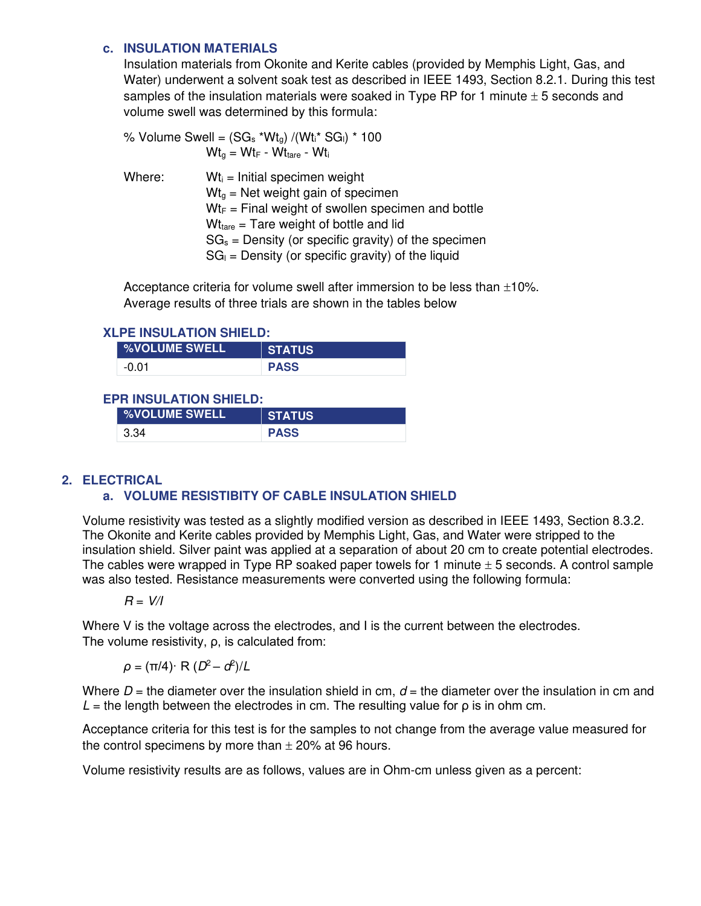### **c. INSULATION MATERIALS**

Insulation materials from Okonite and Kerite cables (provided by Memphis Light, Gas, and Water) underwent a solvent soak test as described in IEEE 1493, Section 8.2.1. During this test samples of the insulation materials were soaked in Type RP for 1 minute  $\pm$  5 seconds and volume swell was determined by this formula:

|        | % Volume Swell = $(SG_s * Wt_q) / (Wt_i * SG_i) * 100$ |
|--------|--------------------------------------------------------|
|        | $Wtg = WtF - Wttare - Wti$                             |
| Where: | $Wt_i$ = Initial specimen weight                       |
|        | $Wtq$ = Net weight gain of specimen                    |
|        | $Wt_F$ = Final weight of swollen specimen and bottle   |
|        | $Wttare = Tare weight of bottle and lid$               |
|        | $SG_s$ = Density (or specific gravity) of the specimen |
|        | $SG_{1}$ = Density (or specific gravity) of the liquid |

Acceptance criteria for volume swell after immersion to be less than  $\pm 10\%$ . Average results of three trials are shown in the tables below

### **XLPE INSULATION SHIELD:**

| <b>%VOLUME SWELL</b> | US<br>Ά     |
|----------------------|-------------|
| -0                   | <b>PASS</b> |

# **EPR INSULATION SHIELD:**

| ∣ %VOLUME SWELL' | <b>STATUS</b> |
|------------------|---------------|
| -3.34            | <b>PASS</b>   |

# **2. ELECTRICAL**

# **a. VOLUME RESISTIBITY OF CABLE INSULATION SHIELD**

Volume resistivity was tested as a slightly modified version as described in IEEE 1493, Section 8.3.2. The Okonite and Kerite cables provided by Memphis Light, Gas, and Water were stripped to the insulation shield. Silver paint was applied at a separation of about 20 cm to create potential electrodes. The cables were wrapped in Type RP soaked paper towels for 1 minute  $\pm$  5 seconds. A control sample was also tested. Resistance measurements were converted using the following formula:

$$
R = V/I
$$

Where V is the voltage across the electrodes, and I is the current between the electrodes. The volume resistivity, ρ, is calculated from:

 $ρ = (π/4)$ · R  $(D<sup>2</sup> – d<sup>2</sup>)/L$ 

Where  $D =$  the diameter over the insulation shield in cm,  $d =$  the diameter over the insulation in cm and  $L =$  the length between the electrodes in cm. The resulting value for  $\rho$  is in ohm cm.

Acceptance criteria for this test is for the samples to not change from the average value measured for the control specimens by more than  $\pm$  20% at 96 hours.

Volume resistivity results are as follows, values are in Ohm-cm unless given as a percent: